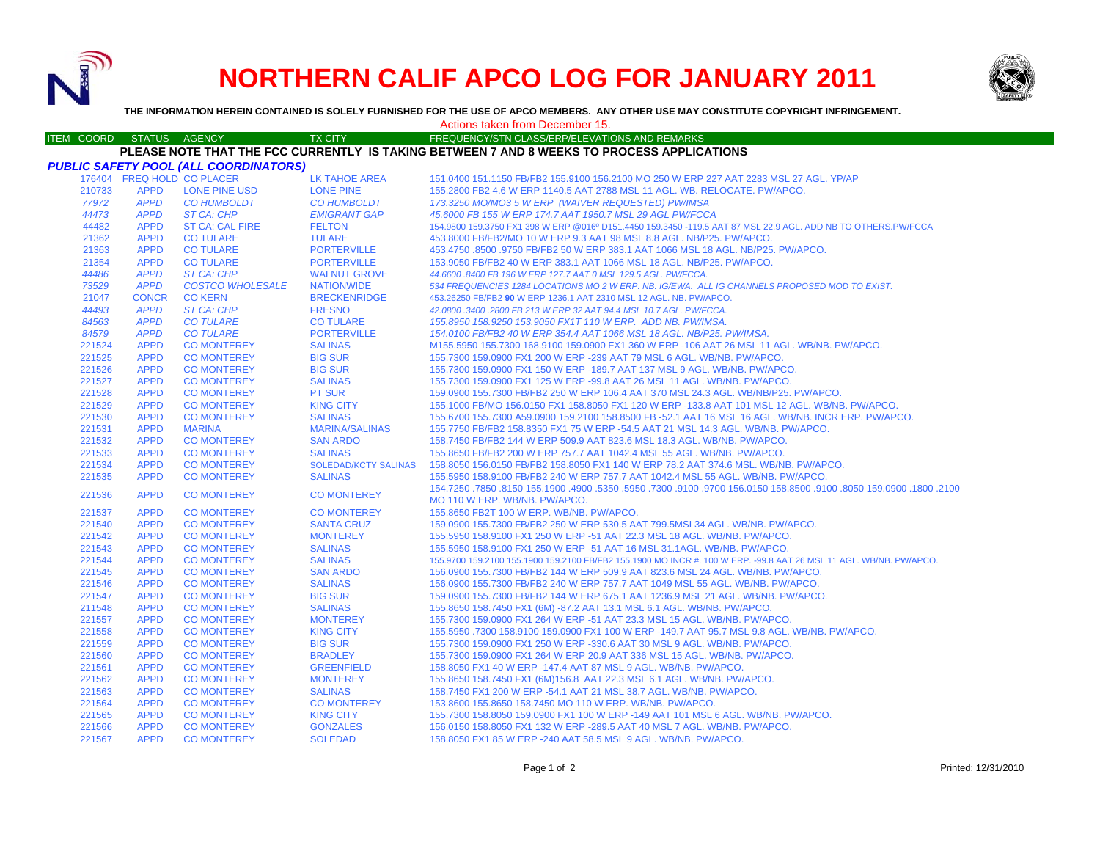

# **NORTHERN CALIF APCO LOG FOR JANUARY 2011**



**THE INFORMATION HEREIN CONTAINED IS SOLELY FURNISHED FOR THE USE OF APCO MEMBERS. ANY OTHER USE MAY CONSTITUTE COPYRIGHT INFRINGEMENT.**

## Actions taken from December 15.

#### ITEM COORD STATUS AGENCY TX CITY TIREQUENCY/STN CLASS/ERP/ELEVATIONS AND REMARKS **PLEASE NOTE THAT THE FCC CURRENTLY IS TAKING BETWEEN 7 AND 8 WEEKS TO PROCESS APPLICATIONS**

|        |                            | PUBLIC SAFETY POOL (ALL COORDINATORS) |                             |                                                                                                                     |
|--------|----------------------------|---------------------------------------|-----------------------------|---------------------------------------------------------------------------------------------------------------------|
|        | 176404 FREQ HOLD CO PLACER |                                       | LK TAHOE AREA               | 151.0400 151.1150 FB/FB2 155.9100 156.2100 MO 250 W ERP 227 AAT 2283 MSL 27 AGL, YP/AP                              |
| 210733 | <b>APPD</b>                | <b>LONE PINE USD</b>                  | <b>LONE PINE</b>            | 155,2800 FB2 4.6 W ERP 1140.5 AAT 2788 MSL 11 AGL, WB, RELOCATE, PW/APCO,                                           |
| 77972  | <b>APPD</b>                | <b>CO HUMBOLDT</b>                    | <b>CO HUMBOLDT</b>          | 173.3250 MO/MO3 5 W ERP (WAIVER REQUESTED) PW/IMSA                                                                  |
| 44473  | <b>APPD</b>                | ST CA: CHP                            | <b>EMIGRANT GAP</b>         | 45.6000 FB 155 W ERP 174.7 AAT 1950.7 MSL 29 AGL PW/FCCA                                                            |
| 44482  | <b>APPD</b>                | <b>ST CA: CAL FIRE</b>                | <b>FELTON</b>               | 154.9800 159.3750 FX1 398 W ERP @016º D151.4450 159.3450 -119.5 AAT 87 MSL 22.9 AGL. ADD NB TO OTHERS.PW/FCCA       |
| 21362  | <b>APPD</b>                | <b>CO TULARE</b>                      | <b>TULARE</b>               | 453,8000 FB/FB2/MO 10 W ERP 9.3 AAT 98 MSL 8.8 AGL, NB/P25, PW/APCO.                                                |
| 21363  | <b>APPD</b>                | <b>CO TULARE</b>                      | <b>PORTERVILLE</b>          | 453.4750 .8500 .9750 FB/FB2 50 W ERP 383.1 AAT 1066 MSL 18 AGL. NB/P25. PW/APCO.                                    |
| 21354  | <b>APPD</b>                | <b>CO TULARE</b>                      | <b>PORTERVILLE</b>          | 153,9050 FB/FB2 40 W ERP 383.1 AAT 1066 MSL 18 AGL, NB/P25, PW/APCO.                                                |
| 44486  | <b>APPD</b>                | ST CA: CHP                            | <b>WALNUT GROVE</b>         | 44,6600,8400 FB 196 W ERP 127.7 AAT 0 MSL 129.5 AGL, PW/FCCA.                                                       |
| 73529  | <b>APPD</b>                | <b>COSTCO WHOLESALE</b>               | <b>NATIONWIDE</b>           | 534 FREQUENCIES 1284 LOCATIONS MO 2 W ERP. NB. IG/EWA. ALL IG CHANNELS PROPOSED MOD TO EXIST.                       |
| 21047  | <b>CONCR</b>               | <b>CO KERN</b>                        | <b>BRECKENRIDGE</b>         | 453.26250 FB/FB2 90 W ERP 1236.1 AAT 2310 MSL 12 AGL. NB. PW/APCO.                                                  |
| 44493  | <b>APPD</b>                | ST CA: CHP                            | <b>FRESNO</b>               | 42.0800 .3400 .2800 FB 213 W ERP 32 AAT 94.4 MSL 10.7 AGL. PW/FCCA.                                                 |
| 84563  | <b>APPD</b>                | <b>CO TULARE</b>                      | <b>CO TULARE</b>            | 155.8950 158.9250 153.9050 FX1T 110 W ERP. ADD NB. PW/IMSA.                                                         |
| 84579  | <b>APPD</b>                | <b>CO TULARE</b>                      | <b>PORTERVILLE</b>          | 154.0100 FB/FB2 40 W ERP 354.4 AAT 1066 MSL 18 AGL, NB/P25, PW/IMSA.                                                |
| 221524 | <b>APPD</b>                | <b>CO MONTEREY</b>                    | <b>SALINAS</b>              | M155.5950 155.7300 168.9100 159.0900 FX1 360 W ERP -106 AAT 26 MSL 11 AGL. WB/NB, PW/APCO,                          |
| 221525 | <b>APPD</b>                | <b>CO MONTEREY</b>                    | <b>BIG SUR</b>              | 155.7300 159.0900 FX1 200 W ERP -239 AAT 79 MSL 6 AGL, WB/NB, PW/APCO,                                              |
| 221526 | <b>APPD</b>                | <b>CO MONTEREY</b>                    | <b>BIG SUR</b>              | 155.7300 159.0900 FX1 150 W ERP -189.7 AAT 137 MSL 9 AGL, WB/NB, PW/APCO,                                           |
| 221527 | <b>APPD</b>                | <b>CO MONTEREY</b>                    | <b>SALINAS</b>              | 155.7300 159.0900 FX1 125 W ERP -99.8 AAT 26 MSL 11 AGL, WB/NB, PW/APCO,                                            |
| 221528 | <b>APPD</b>                | <b>CO MONTEREY</b>                    | <b>PT SUR</b>               | 159,0900 155,7300 FB/FB2 250 W ERP 106.4 AAT 370 MSL 24.3 AGL, WB/NB/P25, PW/APCO,                                  |
| 221529 | <b>APPD</b>                | <b>CO MONTEREY</b>                    | <b>KING CITY</b>            | 155.1000 FB/MO 156.0150 FX1 158.8050 FX1 120 W ERP -133.8 AAT 101 MSL 12 AGL. WB/NB. PW/APCO.                       |
| 221530 | <b>APPD</b>                | <b>CO MONTEREY</b>                    | <b>SALINAS</b>              | 155.6700 155.7300 A59.0900 159.2100 158.8500 FB -52.1 AAT 16 MSL 16 AGL. WB/NB. INCR ERP. PW/APCO.                  |
| 221531 | <b>APPD</b>                | <b>MARINA</b>                         | <b>MARINA/SALINAS</b>       | 155.7750 FB/FB2 158.8350 FX1 75 W ERP -54.5 AAT 21 MSL 14.3 AGL. WB/NB. PW/APCO.                                    |
| 221532 | <b>APPD</b>                | <b>CO MONTEREY</b>                    | <b>SAN ARDO</b>             | 158.7450 FB/FB2 144 W ERP 509.9 AAT 823.6 MSL 18.3 AGL, WB/NB, PW/APCO,                                             |
| 221533 | <b>APPD</b>                | <b>CO MONTEREY</b>                    | <b>SALINAS</b>              | 155.8650 FB/FB2 200 W ERP 757.7 AAT 1042.4 MSL 55 AGL. WB/NB. PW/APCO.                                              |
| 221534 | <b>APPD</b>                | <b>CO MONTEREY</b>                    | <b>SOLEDAD/KCTY SALINAS</b> | 158,8050 156,0150 FB/FB2 158,8050 FX1 140 W ERP 78.2 AAT 374.6 MSL, WB/NB, PW/APCO,                                 |
| 221535 | <b>APPD</b>                | <b>CO MONTEREY</b>                    | <b>SALINAS</b>              | 155,5950 158,9100 FB/FB2 240 W ERP 757.7 AAT 1042.4 MSL 55 AGL, WB/NB, PW/APCO,                                     |
| 221536 | <b>APPD</b>                | <b>CO MONTEREY</b>                    | <b>CO MONTEREY</b>          | 1002. 1800. 1900.050 158.0500. 158.8500 156.0150 168.0150 19100. 1500.0910 154.7250 164.7250 1551 150.0900. 159.090 |
|        |                            |                                       |                             | MO 110 W ERP. WB/NB. PW/APCO.                                                                                       |
| 221537 | <b>APPD</b>                | <b>CO MONTEREY</b>                    | <b>CO MONTEREY</b>          | 155.8650 FB2T 100 W ERP. WB/NB. PW/APCO.                                                                            |
| 221540 | <b>APPD</b>                | <b>CO MONTEREY</b>                    | <b>SANTA CRUZ</b>           | 159.0900 155.7300 FB/FB2 250 W ERP 530.5 AAT 799.5MSL34 AGL. WB/NB. PW/APCO.                                        |
| 221542 | <b>APPD</b>                | <b>CO MONTEREY</b>                    | <b>MONTEREY</b>             | 155,5950 158,9100 FX1 250 W ERP -51 AAT 22.3 MSL 18 AGL, WB/NB, PW/APCO,                                            |
| 221543 | <b>APPD</b>                | <b>CO MONTEREY</b>                    | <b>SALINAS</b>              | 155,5950 158,9100 FX1 250 W ERP -51 AAT 16 MSL 31,1AGL, WB/NB, PW/APCO,                                             |
| 221544 | <b>APPD</b>                | <b>CO MONTEREY</b>                    | <b>SALINAS</b>              | 155.9700 159.2100 155.1900 159.2100 FB/FB2 155.1900 MO INCR #. 100 W ERP. -99.8 AAT 26 MSL 11 AGL. WB/NB. PW/APCO.  |
| 221545 | <b>APPD</b>                | <b>CO MONTEREY</b>                    | <b>SAN ARDO</b>             | 156.0900 155.7300 FB/FB2 144 W ERP 509.9 AAT 823.6 MSL 24 AGL. WB/NB. PW/APCO.                                      |
| 221546 | <b>APPD</b>                | <b>CO MONTEREY</b>                    | <b>SALINAS</b>              | 156,0900 155,7300 FB/FB2 240 W ERP 757.7 AAT 1049 MSL 55 AGL, WB/NB, PW/APCO,                                       |
| 221547 | <b>APPD</b>                | <b>CO MONTEREY</b>                    | <b>BIG SUR</b>              | 159.0900 155.7300 FB/FB2 144 W ERP 675.1 AAT 1236.9 MSL 21 AGL. WB/NB. PW/APCO.                                     |
| 211548 | <b>APPD</b>                | <b>CO MONTEREY</b>                    | <b>SALINAS</b>              | 155.8650 158.7450 FX1 (6M) -87.2 AAT 13.1 MSL 6.1 AGL. WB/NB. PW/APCO.                                              |
| 221557 | <b>APPD</b>                | <b>CO MONTEREY</b>                    | <b>MONTEREY</b>             | 155.7300 159.0900 FX1 264 W ERP -51 AAT 23.3 MSL 15 AGL, WB/NB, PW/APCO,                                            |
| 221558 | <b>APPD</b>                | <b>CO MONTEREY</b>                    | <b>KING CITY</b>            | 155.5950 .7300 158.9100 159.0900 FX1 100 W ERP -149.7 AAT 95.7 MSL 9.8 AGL. WB/NB. PW/APCO.                         |
| 221559 | <b>APPD</b>                | <b>CO MONTEREY</b>                    | <b>BIG SUR</b>              | 155.7300 159.0900 FX1 250 W ERP -330.6 AAT 30 MSL 9 AGL, WB/NB, PW/APCO,                                            |
| 221560 | <b>APPD</b>                | <b>CO MONTEREY</b>                    | <b>BRADLEY</b>              | 155.7300 159.0900 FX1 264 W ERP 20.9 AAT 336 MSL 15 AGL, WB/NB, PW/APCO,                                            |
| 221561 | <b>APPD</b>                | <b>CO MONTEREY</b>                    | <b>GREENFIELD</b>           | 158.8050 FX1 40 W ERP -147.4 AAT 87 MSL 9 AGL. WB/NB. PW/APCO.                                                      |
| 221562 | <b>APPD</b>                | <b>CO MONTEREY</b>                    | <b>MONTEREY</b>             | 155.8650 158.7450 FX1 (6M)156.8 AAT 22.3 MSL 6.1 AGL. WB/NB. PW/APCO.                                               |
| 221563 | <b>APPD</b>                | <b>CO MONTEREY</b>                    | <b>SALINAS</b>              | 158.7450 FX1 200 W ERP -54.1 AAT 21 MSL 38.7 AGL, WB/NB, PW/APCO,                                                   |
| 221564 | <b>APPD</b>                | <b>CO MONTEREY</b>                    | <b>CO MONTEREY</b>          | 153.8600 155.8650 158.7450 MO 110 W ERP. WB/NB. PW/APCO.                                                            |
| 221565 | <b>APPD</b>                | <b>CO MONTEREY</b>                    | <b>KING CITY</b>            | 155,7300 158,8050 159,0900 FX1 100 W ERP -149 AAT 101 MSL 6 AGL, WB/NB, PW/APCO,                                    |
| 221566 | <b>APPD</b>                | <b>CO MONTEREY</b>                    | <b>GONZALES</b>             | 156,0150 158,8050 FX1 132 W ERP -289.5 AAT 40 MSL 7 AGL, WB/NB, PW/APCO,                                            |
| 221567 | <b>APPD</b>                | <b>CO MONTEREY</b>                    | <b>SOLEDAD</b>              | 158,8050 FX1 85 W ERP - 240 AAT 58.5 MSL 9 AGL, WB/NB, PW/APCO,                                                     |